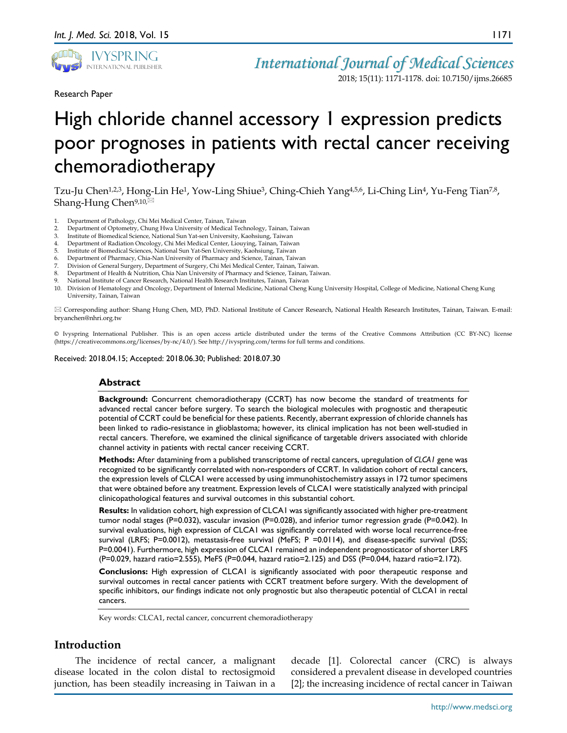

2018; 15(11): 1171-1178. doi: 10.7150/ijms.26685

Research Paper

# High chloride channel accessory 1 expression predicts poor prognoses in patients with rectal cancer receiving chemoradiotherapy

Tzu-Ju Chen<sup>1,2,3</sup>, Hong-Lin He<sup>1</sup>, Yow-Ling Shiue<sup>3</sup>, Ching-Chieh Yang<sup>4,5,6</sup>, Li-Ching Lin<sup>4</sup>, Yu-Feng Tian<sup>7,8</sup>, Shang-Hung Chen<sup>9,10, $\boxtimes$ </sup>

- 1. Department of Pathology, Chi Mei Medical Center, Tainan, Taiwan
- 2. Department of Optometry, Chung Hwa University of Medical Technology, Tainan, Taiwan<br>3. Institute of Biomedical Science National Sun Yatsen University, Kaobsiung, Taiwan
- 3. Institute of Biomedical Science, National Sun Yat-sen University, Kaohsiung, Taiwan
- 4. Department of Radiation Oncology, Chi Mei Medical Center, Liouying, Tainan, Taiwan
- 5. Institute of Biomedical Sciences, National Sun Yat-Sen University, Kaohsiung, Taiwan
- 6. Department of Pharmacy, Chia-Nan University of Pharmacy and Science, Tainan, Taiwan
- 7. Division of General Surgery, Department of Surgery, Chi Mei Medical Center, Tainan, Taiwan.
- 8. Department of Health & Nutrition, Chia Nan University of Pharmacy and Science, Tainan, Taiwan.
- 9. National Institute of Cancer Research, National Health Research Institutes, Tainan, Taiwan
- 10. Division of Hematology and Oncology, Department of Internal Medicine, National Cheng Kung University Hospital, College of Medicine, National Cheng Kung University, Tainan, Taiwan

 Corresponding author: Shang Hung Chen, MD, PhD. National Institute of Cancer Research, National Health Research Institutes, Tainan, Taiwan. E-mail: bryanchen@nhri.org.tw

© Ivyspring International Publisher. This is an open access article distributed under the terms of the Creative Commons Attribution (CC BY-NC) license (https://creativecommons.org/licenses/by-nc/4.0/). See http://ivyspring.com/terms for full terms and conditions.

Received: 2018.04.15; Accepted: 2018.06.30; Published: 2018.07.30

#### **Abstract**

**Background:** Concurrent chemoradiotherapy (CCRT) has now become the standard of treatments for advanced rectal cancer before surgery. To search the biological molecules with prognostic and therapeutic potential of CCRT could be beneficial for these patients. Recently, aberrant expression of chloride channels has been linked to radio-resistance in glioblastoma; however, its clinical implication has not been well-studied in rectal cancers. Therefore, we examined the clinical significance of targetable drivers associated with chloride channel activity in patients with rectal cancer receiving CCRT.

**Methods:** After datamining from a published transcriptome of rectal cancers, upregulation of *CLCA1* gene was recognized to be significantly correlated with non-responders of CCRT. In validation cohort of rectal cancers, the expression levels of CLCA1 were accessed by using immunohistochemistry assays in 172 tumor specimens that were obtained before any treatment. Expression levels of CLCA1 were statistically analyzed with principal clinicopathological features and survival outcomes in this substantial cohort.

**Results:** In validation cohort, high expression of CLCA1 was significantly associated with higher pre-treatment tumor nodal stages (P=0.032), vascular invasion (P=0.028), and inferior tumor regression grade (P=0.042). In survival evaluations, high expression of CLCA1 was significantly correlated with worse local recurrence-free survival (LRFS; P=0.0012), metastasis-free survival (MeFS; P =0.0114), and disease-specific survival (DSS; P=0.0041). Furthermore, high expression of CLCA1 remained an independent prognosticator of shorter LRFS (P=0.029, hazard ratio=2.555), MeFS (P=0.044, hazard ratio=2.125) and DSS (P=0.044, hazard ratio=2.172).

**Conclusions:** High expression of CLCA1 is significantly associated with poor therapeutic response and survival outcomes in rectal cancer patients with CCRT treatment before surgery. With the development of specific inhibitors, our findings indicate not only prognostic but also therapeutic potential of CLCA1 in rectal cancers.

Key words: CLCA1, rectal cancer, concurrent chemoradiotherapy

### **Introduction**

The incidence of rectal cancer, a malignant disease located in the colon distal to rectosigmoid junction, has been steadily increasing in Taiwan in a

decade [1]. Colorectal cancer (CRC) is always considered a prevalent disease in developed countries [2]; the increasing incidence of rectal cancer in Taiwan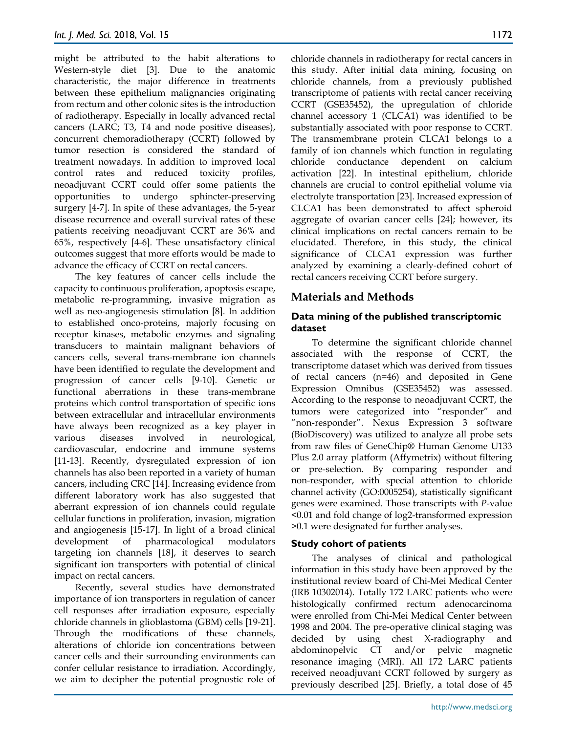might be attributed to the habit alterations to Western-style diet [3]. Due to the anatomic characteristic, the major difference in treatments between these epithelium malignancies originating from rectum and other colonic sites is the introduction of radiotherapy. Especially in locally advanced rectal cancers (LARC; T3, T4 and node positive diseases), concurrent chemoradiotherapy (CCRT) followed by tumor resection is considered the standard of treatment nowadays. In addition to improved local control rates and reduced toxicity profiles, neoadjuvant CCRT could offer some patients the opportunities to undergo sphincter-preserving surgery [4-7]. In spite of these advantages, the 5-year disease recurrence and overall survival rates of these patients receiving neoadjuvant CCRT are 36% and 65%, respectively [4-6]. These unsatisfactory clinical outcomes suggest that more efforts would be made to advance the efficacy of CCRT on rectal cancers.

The key features of cancer cells include the capacity to continuous proliferation, apoptosis escape, metabolic re-programming, invasive migration as well as neo-angiogenesis stimulation [8]. In addition to established onco-proteins, majorly focusing on receptor kinases, metabolic enzymes and signaling transducers to maintain malignant behaviors of cancers cells, several trans-membrane ion channels have been identified to regulate the development and progression of cancer cells [9-10]. Genetic or functional aberrations in these trans-membrane proteins which control transportation of specific ions between extracellular and intracellular environments have always been recognized as a key player in various diseases involved in neurological, cardiovascular, endocrine and immune systems [11-13]. Recently, dysregulated expression of ion channels has also been reported in a variety of human cancers, including CRC [14]. Increasing evidence from different laboratory work has also suggested that aberrant expression of ion channels could regulate cellular functions in proliferation, invasion, migration and angiogenesis [15-17]. In light of a broad clinical development of pharmacological modulators targeting ion channels [18], it deserves to search significant ion transporters with potential of clinical impact on rectal cancers.

Recently, several studies have demonstrated importance of ion transporters in regulation of cancer cell responses after irradiation exposure, especially chloride channels in glioblastoma (GBM) cells [19-21]. Through the modifications of these channels, alterations of chloride ion concentrations between cancer cells and their surrounding environments can confer cellular resistance to irradiation. Accordingly, we aim to decipher the potential prognostic role of chloride channels in radiotherapy for rectal cancers in this study. After initial data mining, focusing on chloride channels, from a previously published transcriptome of patients with rectal cancer receiving CCRT (GSE35452), the upregulation of chloride channel accessory 1 (CLCA1) was identified to be substantially associated with poor response to CCRT. The transmembrane protein CLCA1 belongs to a family of ion channels which function in regulating chloride conductance dependent on calcium activation [22]. In intestinal epithelium, chloride channels are crucial to control epithelial volume via electrolyte transportation [23]. Increased expression of CLCA1 has been demonstrated to affect spheroid aggregate of ovarian cancer cells [24]; however, its clinical implications on rectal cancers remain to be elucidated. Therefore, in this study, the clinical significance of CLCA1 expression was further analyzed by examining a clearly-defined cohort of rectal cancers receiving CCRT before surgery.

### **Materials and Methods**

### **Data mining of the published transcriptomic dataset**

To determine the significant chloride channel associated with the response of CCRT, the transcriptome dataset which was derived from tissues of rectal cancers (n=46) and deposited in Gene Expression Omnibus (GSE35452) was assessed. According to the response to neoadjuvant CCRT, the tumors were categorized into "responder" and "non-responder". Nexus Expression 3 software (BioDiscovery) was utilized to analyze all probe sets from raw files of GeneChip® Human Genome U133 Plus 2.0 array platform (Affymetrix) without filtering or pre-selection. By comparing responder and non-responder, with special attention to chloride channel activity (GO:0005254), statistically significant genes were examined. Those transcripts with *P*-value <0.01 and fold change of log2-transformed expression >0.1 were designated for further analyses.

### **Study cohort of patients**

The analyses of clinical and pathological information in this study have been approved by the institutional review board of Chi-Mei Medical Center (IRB 10302014). Totally 172 LARC patients who were histologically confirmed rectum adenocarcinoma were enrolled from Chi-Mei Medical Center between 1998 and 2004. The pre-operative clinical staging was decided by using chest X-radiography and abdominopelvic CT and/or pelvic magnetic resonance imaging (MRI). All 172 LARC patients received neoadjuvant CCRT followed by surgery as previously described [25]. Briefly, a total dose of 45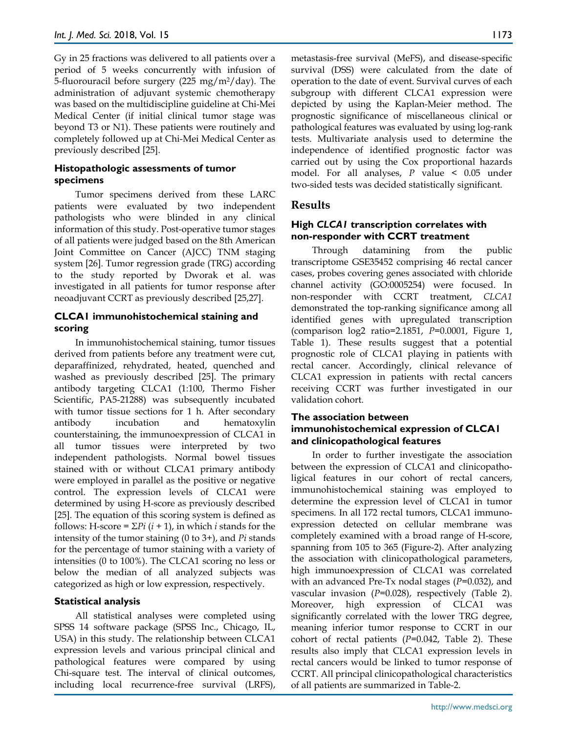Gy in 25 fractions was delivered to all patients over a period of 5 weeks concurrently with infusion of 5-fluorouracil before surgery  $(225 \text{ mg/m}^2/\text{day})$ . The administration of adjuvant systemic chemotherapy was based on the multidiscipline guideline at Chi-Mei Medical Center (if initial clinical tumor stage was beyond T3 or N1). These patients were routinely and completely followed up at Chi-Mei Medical Center as previously described [25].

### **Histopathologic assessments of tumor specimens**

Tumor specimens derived from these LARC patients were evaluated by two independent pathologists who were blinded in any clinical information of this study. Post-operative tumor stages of all patients were judged based on the 8th American Joint Committee on Cancer (AJCC) TNM staging system [26]. Tumor regression grade (TRG) according to the study reported by Dworak et al. was investigated in all patients for tumor response after neoadjuvant CCRT as previously described [25,27].

### **CLCA1 immunohistochemical staining and scoring**

In immunohistochemical staining, tumor tissues derived from patients before any treatment were cut, deparaffinized, rehydrated, heated, quenched and washed as previously described [25]. The primary antibody targeting CLCA1 (1:100, Thermo Fisher Scientific, PA5-21288) was subsequently incubated with tumor tissue sections for 1 h. After secondary antibody incubation and hematoxylin counterstaining, the immunoexpression of CLCA1 in all tumor tissues were interpreted by two independent pathologists. Normal bowel tissues stained with or without CLCA1 primary antibody were employed in parallel as the positive or negative control. The expression levels of CLCA1 were determined by using H-score as previously described [25]. The equation of this scoring system is defined as follows: H-score =  $\Sigma Pi$  ( $i + 1$ ), in which  $i$  stands for the intensity of the tumor staining (0 to 3+), and *Pi* stands for the percentage of tumor staining with a variety of intensities (0 to 100%). The CLCA1 scoring no less or below the median of all analyzed subjects was categorized as high or low expression, respectively.

### **Statistical analysis**

All statistical analyses were completed using SPSS 14 software package (SPSS Inc., Chicago, IL, USA) in this study. The relationship between CLCA1 expression levels and various principal clinical and pathological features were compared by using Chi-square test. The interval of clinical outcomes, including local recurrence-free survival (LRFS),

metastasis-free survival (MeFS), and disease-specific survival (DSS) were calculated from the date of operation to the date of event. Survival curves of each subgroup with different CLCA1 expression were depicted by using the Kaplan-Meier method. The prognostic significance of miscellaneous clinical or pathological features was evaluated by using log-rank tests. Multivariate analysis used to determine the independence of identified prognostic factor was carried out by using the Cox proportional hazards model. For all analyses, *P* value < 0.05 under two-sided tests was decided statistically significant.

## **Results**

### **High** *CLCA1* **transcription correlates with non-responder with CCRT treatment**

Through datamining from the public transcriptome GSE35452 comprising 46 rectal cancer cases, probes covering genes associated with chloride channel activity (GO:0005254) were focused. In non-responder with CCRT treatment, *CLCA1* demonstrated the top-ranking significance among all identified genes with upregulated transcription (comparison log2 ratio=2.1851, *P=*0.0001, Figure 1, Table 1). These results suggest that a potential prognostic role of CLCA1 playing in patients with rectal cancer. Accordingly, clinical relevance of CLCA1 expression in patients with rectal cancers receiving CCRT was further investigated in our validation cohort.

### **The association between immunohistochemical expression of CLCA1 and clinicopathological features**

In order to further investigate the association between the expression of CLCA1 and clinicopatholigical features in our cohort of rectal cancers, immunohistochemical staining was employed to determine the expression level of CLCA1 in tumor specimens. In all 172 rectal tumors, CLCA1 immunoexpression detected on cellular membrane was completely examined with a broad range of H-score, spanning from 105 to 365 (Figure-2). After analyzing the association with clinicopathological parameters, high immunoexpression of CLCA1 was correlated with an advanced Pre-Tx nodal stages (*P*=0.032), and vascular invasion (*P*=0.028), respectively (Table 2). Moreover, high expression of CLCA1 was significantly correlated with the lower TRG degree, meaning inferior tumor response to CCRT in our cohort of rectal patients (*P*=0.042, Table 2). These results also imply that CLCA1 expression levels in rectal cancers would be linked to tumor response of CCRT. All principal clinicopathological characteristics of all patients are summarized in Table-2.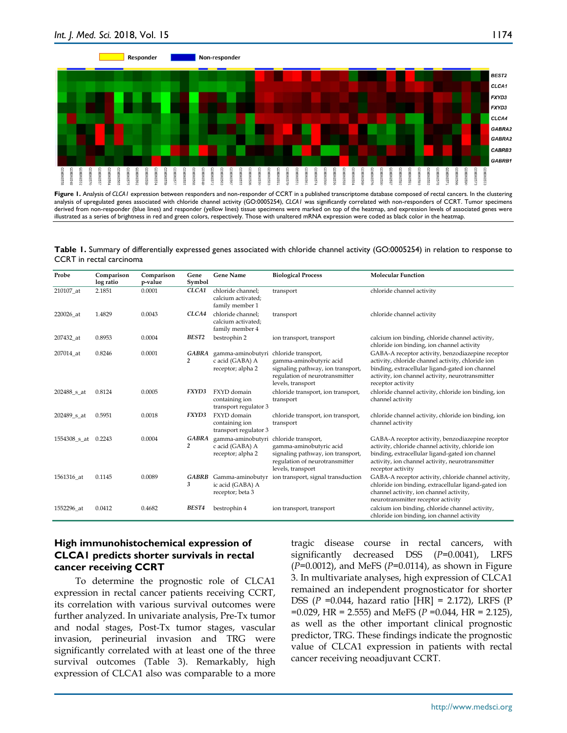

**Figure 1.** Analysis of *CLCA1* expression between responders and non-responder of CCRT in a published transcriptome database composed of rectal cancers. In the clustering analysis of upregulated genes associated with chloride channel activity (GO:0005254), *CLCA1* was significantly correlated with non-responders of CCRT. Tumor specimens derived from non-responder (blue lines) and responder (yellow lines) tissue specimens were marked on top of the heatmap, and expression levels of associated genes were illustrated as a series of brightness in red and green colors, respectively. Those with unaltered mRNA expression were coded as black color in the heatmap.

**Table 1.** Summary of differentially expressed genes associated with chloride channel activity (GO:0005254) in relation to response to CCRT in rectal carcinoma

| Probe               | Comparison<br>log ratio | Comparison<br>p-value | Gene<br>Symbol    | <b>Gene Name</b>                                           | <b>Biological Process</b>                                                                                                                  | <b>Molecular Function</b>                                                                                                                                                                                                          |  |  |  |
|---------------------|-------------------------|-----------------------|-------------------|------------------------------------------------------------|--------------------------------------------------------------------------------------------------------------------------------------------|------------------------------------------------------------------------------------------------------------------------------------------------------------------------------------------------------------------------------------|--|--|--|
| 210107 at           | 2.1851                  | 0.0001                | CLCA1             | chloride channel:<br>calcium activated;<br>family member 1 | transport                                                                                                                                  | chloride channel activity                                                                                                                                                                                                          |  |  |  |
| 220026 at           | 1.4829                  | 0.0043                | CLCA4             | chloride channel;<br>calcium activated;<br>family member 4 | transport                                                                                                                                  | chloride channel activity                                                                                                                                                                                                          |  |  |  |
| 207432 at           | 0.8953                  | 0.0004                | BEST <sub>2</sub> | bestrophin 2                                               | ion transport, transport                                                                                                                   | calcium ion binding, chloride channel activity,<br>chloride ion binding, ion channel activity                                                                                                                                      |  |  |  |
| 207014_at           | 0.8246                  | 0.0001                | GABRA<br>2        | gamma-aminobutyri<br>c acid (GABA) A<br>receptor; alpha 2  | chloride transport,<br>gamma-aminobutyric acid<br>signaling pathway, ion transport,<br>regulation of neurotransmitter<br>levels, transport | GABA-A receptor activity, benzodiazepine receptor<br>activity, chloride channel activity, chloride ion<br>binding, extracellular ligand-gated ion channel<br>activity, ion channel activity, neurotransmitter<br>receptor activity |  |  |  |
| 202488_s_at         | 0.8124                  | 0.0005                | FXYD3             | FXYD domain<br>containing ion<br>transport regulator 3     | chloride transport, ion transport,<br>transport                                                                                            | chloride channel activity, chloride ion binding, ion<br>channel activity                                                                                                                                                           |  |  |  |
| 202489 s at         | 0.5951                  | 0.0018                | FXYD3             | FXYD domain<br>containing ion<br>transport regulator 3     | chloride transport, ion transport,<br>$\mbox{transport}$                                                                                   | chloride channel activity, chloride ion binding, ion<br>channel activity                                                                                                                                                           |  |  |  |
| 1554308 s at 0.2243 |                         | 0.0004                | <b>GABRA</b><br>2 | gamma-aminobutyri<br>c acid (GABA) A<br>receptor; alpha 2  | chloride transport,<br>gamma-aminobutyric acid<br>signaling pathway, ion transport,<br>regulation of neurotransmitter<br>levels, transport | GABA-A receptor activity, benzodiazepine receptor<br>activity, chloride channel activity, chloride ion<br>binding, extracellular ligand-gated ion channel<br>activity, ion channel activity, neurotransmitter<br>receptor activity |  |  |  |
| 1561316 at          | 0.1145                  | 0.0089                | GABRB<br>3        | ic acid (GABA) A<br>receptor; beta 3                       | Gamma-aminobutyr ion transport, signal transduction                                                                                        | GABA-A receptor activity, chloride channel activity,<br>chloride ion binding, extracellular ligand-gated ion<br>channel activity, ion channel activity,<br>neurotransmitter receptor activity                                      |  |  |  |
| 1552296 at          | 0.0412                  | 0.4682                | <b>BEST4</b>      | bestrophin 4                                               | ion transport, transport                                                                                                                   | calcium ion binding, chloride channel activity,<br>chloride ion binding, ion channel activity                                                                                                                                      |  |  |  |

### **High immunohistochemical expression of CLCA1 predicts shorter survivals in rectal cancer receiving CCRT**

To determine the prognostic role of CLCA1 expression in rectal cancer patients receiving CCRT, its correlation with various survival outcomes were further analyzed. In univariate analysis, Pre-Tx tumor and nodal stages, Post-Tx tumor stages, vascular invasion, perineurial invasion and TRG were significantly correlated with at least one of the three survival outcomes (Table 3). Remarkably, high expression of CLCA1 also was comparable to a more

tragic disease course in rectal cancers, with significantly decreased DSS (*P*=0.0041), LRFS (*P*=0.0012), and MeFS (*P*=0.0114), as shown in Figure 3. In multivariate analyses, high expression of CLCA1 remained an independent prognosticator for shorter DSS (*P* =0.044, hazard ratio [HR] = 2.172), LRFS (P =0.029, HR = 2.555) and MeFS (*P* =0.044, HR = 2.125), as well as the other important clinical prognostic predictor, TRG. These findings indicate the prognostic value of CLCA1 expression in patients with rectal cancer receiving neoadjuvant CCRT.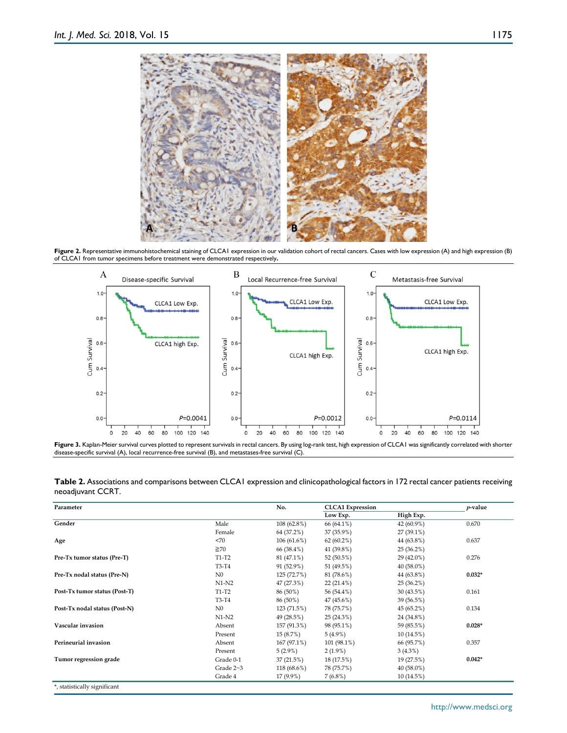

Figure 2. Representative immunohistochemical staining of CLCA1 expression in our validation cohort of rectal cancers. Cases with low expression (A) and high expression (B) of CLCA1 from tumor specimens before treatment were demonstrated respectively**.**



**Figure 3.** Kaplan-Meier survival curves plotted to represent survivals in rectal cancers. By using log-rank test, high expression of CLCA1 was significantly correlated with shorter disease-specific survival (A), local recurrence-free survival (B), and metastases-free survival (C).

**Table 2.** Associations and comparisons between CLCA1 expression and clinicopathological factors in 172 rectal cancer patients receiving neoadjuvant CCRT.

| Parameter                     |                 | No.         |              | <b>CLCA1</b> Expression |          |  |
|-------------------------------|-----------------|-------------|--------------|-------------------------|----------|--|
|                               |                 |             | Low Exp.     | High Exp.               |          |  |
| Gender                        | Male            | 108 (62.8%) | 66 (64.1%)   | 42 (60.9%)              | 0.670    |  |
|                               | Female          | 64 (37.2%)  | 37 (35.9%)   | 27 (39.1%)              |          |  |
| Age                           | < 70            | 106(61.6%)  | $62(60.2\%)$ | 44 (63.8%)              | 0.637    |  |
|                               | $\geq 70$       | 66 (38.4%)  | 41 (39.8%)   | 25(36.2%)               |          |  |
| Pre-Tx tumor status (Pre-T)   | T1-T2           | 81 (47.1%)  | 52 (50.5%)   | 29 (42.0%)              | 0.276    |  |
|                               | T3-T4           | 91 (52.9%)  | 51 (49.5%)   | 40 (58.0%)              |          |  |
| Pre-Tx nodal status (Pre-N)   | $_{\rm N0}$     | 125 (72.7%) | 81 (78.6%)   | 44 (63.8%)              | $0.032*$ |  |
|                               | $N1-N2$         | 47 (27.3%)  | $22(21.4\%)$ | $25(36.2\%)$            |          |  |
| Post-Tx tumor status (Post-T) | T1-T2           | 86 (50%)    | 56 (54.4%)   | 30 (43.5%)              | 0.161    |  |
|                               | T3-T4           | 86 (50%)    | 47 (45.6%)   | 39 (56.5%)              |          |  |
| Post-Tx nodal status (Post-N) | N <sub>0</sub>  | 123 (71.5%) | 78 (75.7%)   | 45 (65.2%)              | 0.134    |  |
|                               | $N1-N2$         | 49 (28.5%)  | 25(24.3%)    | 24 (34.8%)              |          |  |
| Vascular invasion             | Absent          | 157 (91.3%) | 98 (95.1%)   | 59 (85.5%)              | $0.028*$ |  |
|                               | Present         | 15 (8.7%)   | $5(4.9\%)$   | 10(14.5%)               |          |  |
| Perineurial invasion          | Absent          | 167 (97.1%) | 101 (98.1%)  | 66 (95.7%)              | 0.357    |  |
|                               | Present         | $5(2.9\%)$  | $2(1.9\%)$   | 3(4.3%)                 |          |  |
| Tumor regression grade        | Grade 0-1       | 37(21.5%)   | 18 (17.5%)   | 19 (27.5%)              | $0.042*$ |  |
|                               | Grade $2\neg 3$ | 118 (68.6%) | 78 (75.7%)   | 40 (58.0%)              |          |  |
|                               | Grade 4         | 17 (9.9%)   | $7(6.8\%)$   | 10(14.5%)               |          |  |
| *, statistically significant  |                 |             |              |                         |          |  |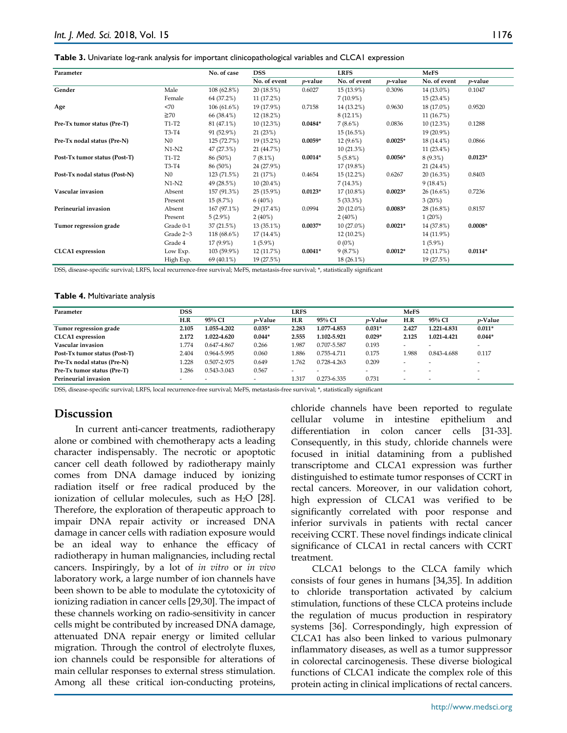|  | Table 3. Univariate log-rank analysis for important clinicopathological variables and CLCA1 expression |
|--|--------------------------------------------------------------------------------------------------------|
|--|--------------------------------------------------------------------------------------------------------|

| Parameter                     |                | No. of case   | <b>DSS</b>   |                 | <b>LRFS</b>  |                 | <b>MeFS</b>  |            |
|-------------------------------|----------------|---------------|--------------|-----------------|--------------|-----------------|--------------|------------|
|                               |                |               | No. of event | <i>p</i> -value | No. of event | <i>p</i> -value | No. of event | $p$ -value |
| Gender                        | Male           | $108(62.8\%)$ | 20 (18.5%)   | 0.6027          | 15 (13.9%)   | 0.3096          | 14 (13.0%)   | 0.1047     |
|                               | Female         | 64 (37.2%)    | 11 (17.2%)   |                 | $7(10.9\%)$  |                 | 15 (23.4%)   |            |
| Age                           | <70            | 106(61.6%)    | 19 (17.9%)   | 0.7158          | 14 (13.2%)   | 0.9630          | 18 (17.0%)   | 0.9520     |
|                               | $\geq 70$      | 66 (38.4%)    | 12 (18.2%)   |                 | $8(12.1\%)$  |                 | 11 (16.7%)   |            |
| Pre-Tx tumor status (Pre-T)   | T1-T2          | 81 (47.1%)    | 10(12.3%)    | $0.0484*$       | $7(8.6\%)$   | 0.0836          | 10(12.3%)    | 0.1288     |
|                               | T3-T4          | 91 (52.9%)    | 21 (23%)     |                 | 15 (16.5%)   |                 | 19 (20.9%)   |            |
| Pre-Tx nodal status (Pre-N)   | N <sub>0</sub> | 125 (72.7%)   | 19 (15.2%)   | $0.0059*$       | $12(9.6\%)$  | $0.0025*$       | 18 (14.4%)   | 0.0866     |
|                               | $N1-N2$        | 47 (27.3%)    | 21 (44.7%)   |                 | 10(21.3%)    |                 | 11 (23.4%)   |            |
| Post-Tx tumor status (Post-T) | $T1-T2$        | 86 (50%)      | $7(8.1\%)$   | $0.0014*$       | 5(5.8%)      | $0.0056*$       | $8(9.3\%)$   | $0.0123*$  |
|                               | T3-T4          | 86 (50%)      | 24 (27.9%)   |                 | 17 (19.8%)   |                 | $21(24.4\%)$ |            |
| Post-Tx nodal status (Post-N) | $_{\rm N0}$    | 123 (71.5%)   | 21 (17%)     | 0.4654          | 15 (12.2%)   | 0.6267          | 20(16.3%)    | 0.8403     |
|                               | N1-N2          | 49 (28.5%)    | $10(20.4\%)$ |                 | 7(14.3%)     |                 | $9(18.4\%)$  |            |
| Vascular invasion             | Absent         | 157 (91.3%)   | 25(15.9%)    | $0.0123*$       | 17 (10.8%)   | $0.0023*$       | $26(16.6\%)$ | 0.7236     |
|                               | Present        | 15(8.7%)      | $6(40\%)$    |                 | 5(33.3%)     |                 | 3(20%)       |            |
| Perineurial invasion          | Absent         | 167 (97.1%)   | 29 (17.4%)   | 0.0994          | $20(12.0\%)$ | $0.0083*$       | 28 (16.8%)   | 0.8157     |
|                               | Present        | 5(2.9%)       | $2(40\%)$    |                 | $2(40\%)$    |                 | $1(20\%)$    |            |
| Tumor regression grade        | Grade 0-1      | 37(21.5%)     | $13(35.1\%)$ | $0.0037*$       | $10(27.0\%)$ | $0.0021*$       | 14 (37.8%)   | $0.0008*$  |
|                               | Grade 2~3      | 118 (68.6%)   | 17 (14.4%)   |                 | 12 (10.2%)   |                 | 14 (11.9%)   |            |
|                               | Grade 4        | $17(9.9\%)$   | $1(5.9\%)$   |                 | $0(0\%)$     |                 | $1(5.9\%)$   |            |
| <b>CLCA1</b> expression       | Low Exp.       | 103 (59.9%)   | 12 (11.7%)   | $0.0041*$       | 9(8.7%)      | $0.0012*$       | 12 (11.7%)   | $0.0114*$  |
|                               | High Exp.      | 69 (40.1%)    | 19 (27.5%)   |                 | $18(26.1\%)$ |                 | 19 (27.5%)   |            |

DSS, disease-specific survival; LRFS, local recurrence-free survival; MeFS, metastasis-free survival; \*, statistically significant

#### **Table 4.** Multivariate analysis

| Parameter                     | DSS                      |                          |                          | LRFS  |             |                 | MeFS   |             |            |
|-------------------------------|--------------------------|--------------------------|--------------------------|-------|-------------|-----------------|--------|-------------|------------|
|                               | H.R                      | 95% CI                   | <i>v</i> -Value          | H.R   | 95% CI      | <i>v</i> -Value | H.R    | 95% CI      | $p$ -Value |
| Tumor regression grade        | 2.105                    | 1.055-4.202              | $0.035*$                 | 2.283 | 1.077-4.853 | $0.031*$        | 2.427  | 1.221-4.831 | $0.011*$   |
| <b>CLCA1</b> expression       | 2.172                    | 1.022-4.620              | $0.044*$                 | 2.555 | 1.102-5.921 | $0.029*$        | 2.125  | 1.021-4.421 | $0.044*$   |
| Vascular invasion             | 1.774                    | 0.647-4.867              | 0.266                    | 1.987 | 0.707-5.587 | 0.193           |        |             |            |
| Post-Tx tumor status (Post-T) | 2.404                    | 0.964-5.995              | 0.060                    | 1.886 | 0.755-4.711 | 0.175           | 1.988  | 0.843-4.688 | 0.117      |
| Pre-Tx nodal status (Pre-N)   | 1.228                    | 0.507-2.975              | 0.649                    | 1.762 | 0.728-4.263 | 0.209           |        |             | -          |
| Pre-Tx tumor status (Pre-T)   | l.286                    | 0.543-3.043              | 0.567                    |       |             |                 |        | ۰           |            |
| Perineurial invasion          | $\overline{\phantom{a}}$ | $\overline{\phantom{0}}$ | $\overline{\phantom{a}}$ | 1.317 | 0.273-6.335 | 0.731           | $\sim$ |             |            |

DSS, disease-specific survival; LRFS, local recurrence-free survival; MeFS, metastasis-free survival; \*, statistically significant

### **Discussion**

In current anti-cancer treatments, radiotherapy alone or combined with chemotherapy acts a leading character indispensably. The necrotic or apoptotic cancer cell death followed by radiotherapy mainly comes from DNA damage induced by ionizing radiation itself or free radical produced by the ionization of cellular molecules, such as  $H_2O$  [28]. Therefore, the exploration of therapeutic approach to impair DNA repair activity or increased DNA damage in cancer cells with radiation exposure would be an ideal way to enhance the efficacy of radiotherapy in human malignancies, including rectal cancers. Inspiringly, by a lot of *in vitro* or *in vivo* laboratory work, a large number of ion channels have been shown to be able to modulate the cytotoxicity of ionizing radiation in cancer cells [29,30]. The impact of these channels working on radio-sensitivity in cancer cells might be contributed by increased DNA damage, attenuated DNA repair energy or limited cellular migration. Through the control of electrolyte fluxes, ion channels could be responsible for alterations of main cellular responses to external stress stimulation. Among all these critical ion-conducting proteins,

chloride channels have been reported to regulate cellular volume in intestine epithelium and differentiation in colon cancer cells [31-33]. Consequently, in this study, chloride channels were focused in initial datamining from a published transcriptome and CLCA1 expression was further distinguished to estimate tumor responses of CCRT in rectal cancers. Moreover, in our validation cohort, high expression of CLCA1 was verified to be significantly correlated with poor response and inferior survivals in patients with rectal cancer receiving CCRT. These novel findings indicate clinical significance of CLCA1 in rectal cancers with CCRT treatment.

CLCA1 belongs to the CLCA family which consists of four genes in humans [34,35]. In addition to chloride transportation activated by calcium stimulation, functions of these CLCA proteins include the regulation of mucus production in respiratory systems [36]. Correspondingly, high expression of CLCA1 has also been linked to various pulmonary inflammatory diseases, as well as a tumor suppressor in colorectal carcinogenesis. These diverse biological functions of CLCA1 indicate the complex role of this protein acting in clinical implications of rectal cancers.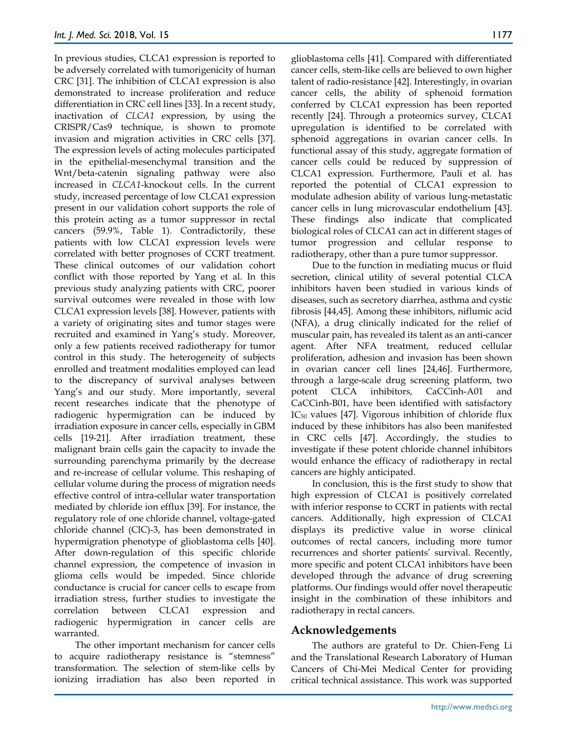In previous studies, CLCA1 expression is reported to be adversely correlated with tumorigenicity of human CRC [31]. The inhibition of CLCA1 expression is also demonstrated to increase proliferation and reduce differentiation in CRC cell lines [33]. In a recent study, inactivation of *CLCA1* expression, by using the CRISPR/Cas9 technique, is shown to promote invasion and migration activities in CRC cells [37]. The expression levels of acting molecules participated in the epithelial-mesenchymal transition and the Wnt/beta-catenin signaling pathway were also increased in *CLCA1*-knockout cells. In the current study, increased percentage of low CLCA1 expression present in our validation cohort supports the role of this protein acting as a tumor suppressor in rectal cancers (59.9%, Table 1). Contradictorily, these patients with low CLCA1 expression levels were correlated with better prognoses of CCRT treatment. These clinical outcomes of our validation cohort conflict with those reported by Yang et al. In this previous study analyzing patients with CRC, poorer survival outcomes were revealed in those with low CLCA1 expression levels [38]. However, patients with a variety of originating sites and tumor stages were recruited and examined in Yang's study. Moreover, only a few patients received radiotherapy for tumor control in this study. The heterogeneity of subjects enrolled and treatment modalities employed can lead to the discrepancy of survival analyses between Yang's and our study. More importantly, several recent researches indicate that the phenotype of radiogenic hypermigration can be induced by irradiation exposure in cancer cells, especially in GBM cells [19-21]. After irradiation treatment, these malignant brain cells gain the capacity to invade the surrounding parenchyma primarily by the decrease and re-increase of cellular volume. This reshaping of cellular volume during the process of migration needs effective control of intra-cellular water transportation mediated by chloride ion efflux [39]. For instance, the regulatory role of one chloride channel, voltage-gated chloride channel (ClC)-3, has been demonstrated in hypermigration phenotype of glioblastoma cells [40]. After down-regulation of this specific chloride channel expression, the competence of invasion in glioma cells would be impeded. Since chloride conductance is crucial for cancer cells to escape from irradiation stress, further studies to investigate the correlation between CLCA1 expression and radiogenic hypermigration in cancer cells are warranted.

The other important mechanism for cancer cells to acquire radiotherapy resistance is "stemness" transformation. The selection of stem-like cells by ionizing irradiation has also been reported in glioblastoma cells [41]. Compared with differentiated cancer cells, stem-like cells are believed to own higher talent of radio-resistance [42]. Interestingly, in ovarian cancer cells, the ability of sphenoid formation conferred by CLCA1 expression has been reported recently [24]. Through a proteomics survey, CLCA1 upregulation is identified to be correlated with sphenoid aggregations in ovarian cancer cells. In functional assay of this study, aggregate formation of cancer cells could be reduced by suppression of CLCA1 expression. Furthermore, Pauli et al. has reported the potential of CLCA1 expression to modulate adhesion ability of various lung-metastatic cancer cells in lung microvascular endothelium [43]. These findings also indicate that complicated biological roles of CLCA1 can act in different stages of tumor progression and cellular response to radiotherapy, other than a pure tumor suppressor.

Due to the function in mediating mucus or fluid secretion, clinical utility of several potential CLCA inhibitors haven been studied in various kinds of diseases, such as secretory diarrhea, asthma and cystic fibrosis [44,45]. Among these inhibitors, niflumic acid (NFA), a drug clinically indicated for the relief of muscular pain, has revealed its talent as an anti-cancer agent. After NFA treatment, reduced cellular proliferation, adhesion and invasion has been shown in ovarian cancer cell lines [24,46]. Furthermore, through a large-scale drug screening platform, two potent CLCA inhibitors, CaCCinh-A01 and CaCCinh-B01, have been identified with satisfactory  $IC_{50}$  values [47]. Vigorous inhibition of chloride flux induced by these inhibitors has also been manifested in CRC cells [47]. Accordingly, the studies to investigate if these potent chloride channel inhibitors would enhance the efficacy of radiotherapy in rectal cancers are highly anticipated.

In conclusion, this is the first study to show that high expression of CLCA1 is positively correlated with inferior response to CCRT in patients with rectal cancers. Additionally, high expression of CLCA1 displays its predictive value in worse clinical outcomes of rectal cancers, including more tumor recurrences and shorter patients' survival. Recently, more specific and potent CLCA1 inhibitors have been developed through the advance of drug screening platforms. Our findings would offer novel therapeutic insight in the combination of these inhibitors and radiotherapy in rectal cancers.

### **Acknowledgements**

The authors are grateful to Dr. Chien-Feng Li and the Translational Research Laboratory of Human Cancers of Chi-Mei Medical Center for providing critical technical assistance. This work was supported